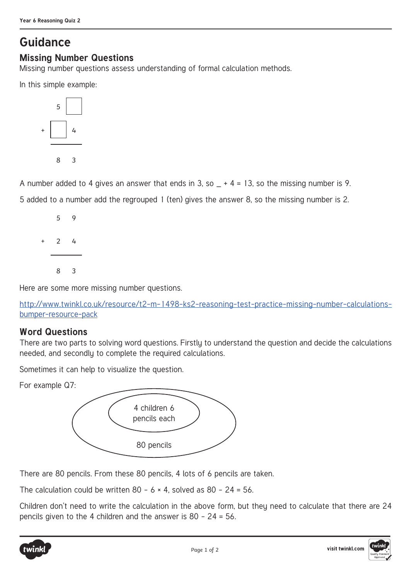## **Guidance**

## **Missing Number Questions**

Missing number questions assess understanding of formal calculation methods.

In this simple example:



A number added to 4 gives an answer that ends in 3, so  $- + 4 = 13$ , so the missing number is 9.

5 added to a number add the regrouped 1 (ten) gives the answer 8, so the missing number is 2.



Here are some more missing number questions.

http://www.twinkl.co.uk/resource/t2-m-1498-ks2-reasoning-test-practice-missing-number-calculationsbumper-resource-pack

## **Word Questions**

There are two parts to solving word questions. Firstly to understand the question and decide the calculations needed, and secondly to complete the required calculations.

Sometimes it can help to visualize the question.

For example Q7:



There are 80 pencils. From these 80 pencils, 4 lots of 6 pencils are taken.

The calculation could be written  $80 - 6 \times 4$ , solved as  $80 - 24 = 56$ .

Children don't need to write the calculation in the above form, but they need to calculate that there are 24 pencils given to the 4 children and the answer is 80 – 24 = 56.